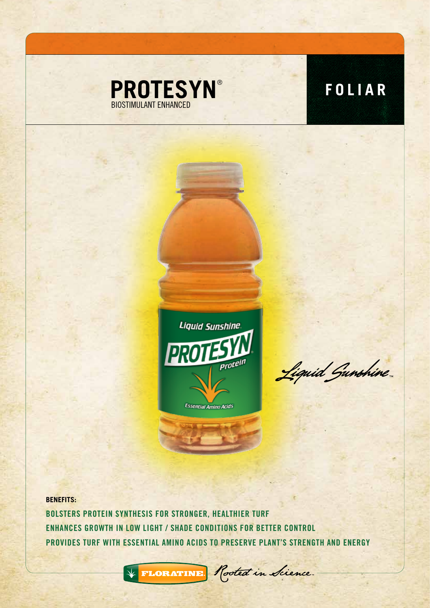



Liquid Gunshine

**BENEFITS:** BOLSTERS PROTEIN SYNTHESIS FOR STRONGER, HEALTHIER TURF ENHANCES GROWTH IN LOW LIGHT / SHADE CONDITIONS FOR BETTER CONTROL PROVIDES TURF WITH ESSENTIAL AMINO ACIDS TO PRESERVE PLANT'S STRENGTH AND ENERGY